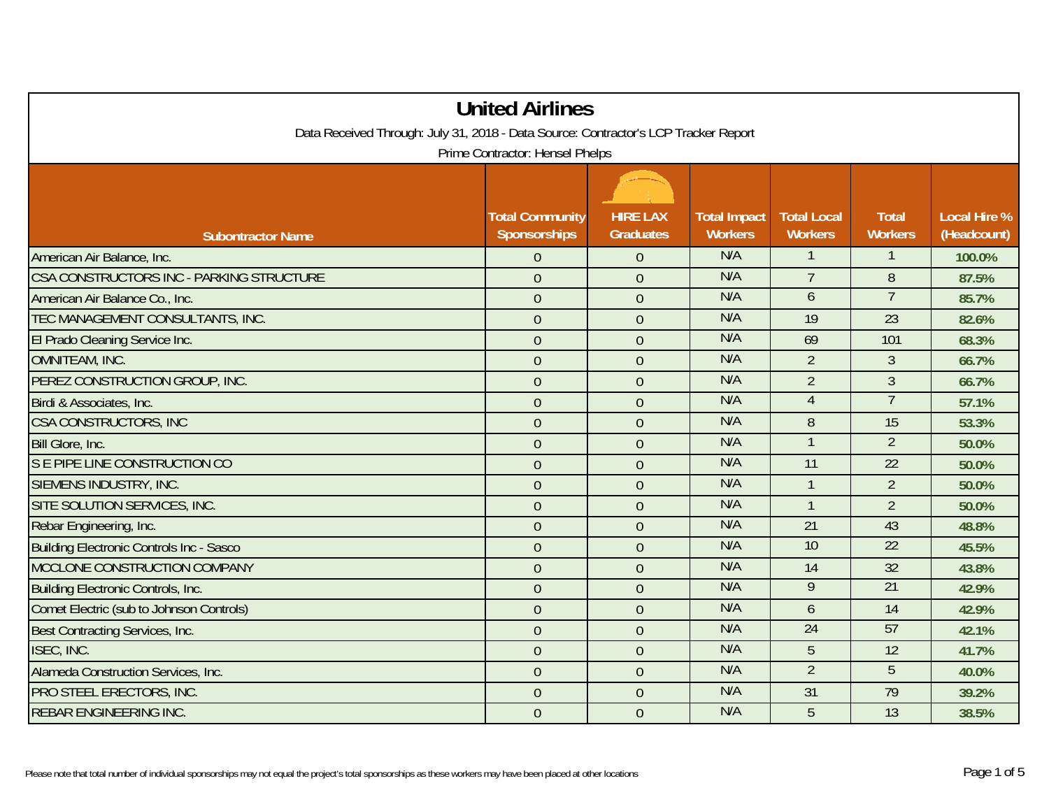| <b>United Airlines</b>                                                              |                                               |                                     |                                       |                                      |                                |                                    |
|-------------------------------------------------------------------------------------|-----------------------------------------------|-------------------------------------|---------------------------------------|--------------------------------------|--------------------------------|------------------------------------|
| Data Received Through: July 31, 2018 - Data Source: Contractor's LCP Tracker Report |                                               |                                     |                                       |                                      |                                |                                    |
| Prime Contractor: Hensel Phelps                                                     |                                               |                                     |                                       |                                      |                                |                                    |
| <b>Subontractor Name</b>                                                            | <b>Total Community</b><br><b>Sponsorships</b> | <b>HIRE LAX</b><br><b>Graduates</b> | <b>Total Impact</b><br><b>Workers</b> | <b>Total Local</b><br><b>Workers</b> | <b>Total</b><br><b>Workers</b> | <b>Local Hire %</b><br>(Headcount) |
| American Air Balance, Inc.                                                          | $\overline{0}$                                | $\overline{0}$                      | N/A                                   |                                      |                                | 100.0%                             |
| CSA CONSTRUCTORS INC - PARKING STRUCTURE                                            | $\mathbf 0$                                   | $\overline{0}$                      | N/A                                   | $\overline{7}$                       | 8                              | 87.5%                              |
| American Air Balance Co., Inc.                                                      | $\mathbf 0$                                   | $\overline{0}$                      | N/A                                   | $\mathfrak b$                        | $\overline{7}$                 | 85.7%                              |
| TEC MANAGEMENT CONSULTANTS, INC.                                                    | $\mathbf{0}$                                  | $\overline{0}$                      | N/A                                   | 19                                   | $\overline{23}$                | 82.6%                              |
| El Prado Cleaning Service Inc.                                                      | $\mathbf{0}$                                  | $\theta$                            | N/A                                   | 69                                   | 101                            | 68.3%                              |
| OMNITEAM, INC.                                                                      | $\overline{0}$                                | $\overline{0}$                      | N/A                                   | $\overline{2}$                       | $\overline{3}$                 | 66.7%                              |
| PEREZ CONSTRUCTION GROUP, INC.                                                      | $\overline{0}$                                | $\overline{0}$                      | N/A                                   | $\overline{2}$                       | $\mathfrak{Z}$                 | 66.7%                              |
| Birdi & Associates, Inc.                                                            | $\overline{0}$                                | $\overline{0}$                      | N/A                                   | $\overline{4}$                       | $7\overline{ }$                | 57.1%                              |
| <b>CSA CONSTRUCTORS, INC</b>                                                        | $\mathbf{0}$                                  | $\overline{0}$                      | N/A                                   | 8                                    | 15                             | 53.3%                              |
| Bill Glore, Inc.                                                                    | $\overline{0}$                                | $\overline{0}$                      | N/A                                   |                                      | $\overline{2}$                 | 50.0%                              |
| S E PIPE LINE CONSTRUCTION CO                                                       | $\mathbf 0$                                   | $\mathbf 0$                         | N/A                                   | 11                                   | 22                             | 50.0%                              |
| SIEMENS INDUSTRY, INC.                                                              | $\mathbf{0}$                                  | $\overline{0}$                      | N/A                                   | $\mathbf{1}$                         | $\overline{2}$                 | 50.0%                              |
| SITE SOLUTION SERVICES, INC.                                                        | $\mathbf 0$                                   | $\overline{0}$                      | N/A                                   |                                      | $\overline{2}$                 | 50.0%                              |
| Rebar Engineering, Inc.                                                             | $\overline{0}$                                | $\overline{0}$                      | N/A                                   | 21                                   | 43                             | 48.8%                              |
| <b>Building Electronic Controls Inc - Sasco</b>                                     | $\overline{0}$                                | $\overline{0}$                      | N/A                                   | 10                                   | 22                             | 45.5%                              |
| MCCLONE CONSTRUCTION COMPANY                                                        | $\overline{0}$                                | $\overline{0}$                      | N/A                                   | 14                                   | 32                             | 43.8%                              |
| <b>Building Electronic Controls, Inc.</b>                                           | $\overline{0}$                                | $\overline{0}$                      | N/A                                   | $\overline{9}$                       | 21                             | 42.9%                              |
| Comet Electric (sub to Johnson Controls)                                            | $\mathbf 0$                                   | $\overline{0}$                      | N/A                                   | 6                                    | 14                             | 42.9%                              |
| Best Contracting Services, Inc.                                                     | $\overline{0}$                                | $\overline{0}$                      | N/A                                   | 24                                   | 57                             | 42.1%                              |
| ISEC, INC.                                                                          | $\mathbf 0$                                   | $\overline{0}$                      | N/A                                   | 5                                    | 12                             | 41.7%                              |
| Alameda Construction Services, Inc.                                                 | $\mathbf{0}$                                  | $\overline{0}$                      | N/A                                   | $\overline{2}$                       | 5                              | 40.0%                              |
| PRO STEEL ERECTORS, INC.                                                            | $\mathbf 0$                                   | $\overline{0}$                      | N/A                                   | 31                                   | 79                             | 39.2%                              |
| <b>REBAR ENGINEERING INC.</b>                                                       | $\mathbf{0}$                                  | $\mathbf{0}$                        | N/A                                   | 5                                    | 13                             | 38.5%                              |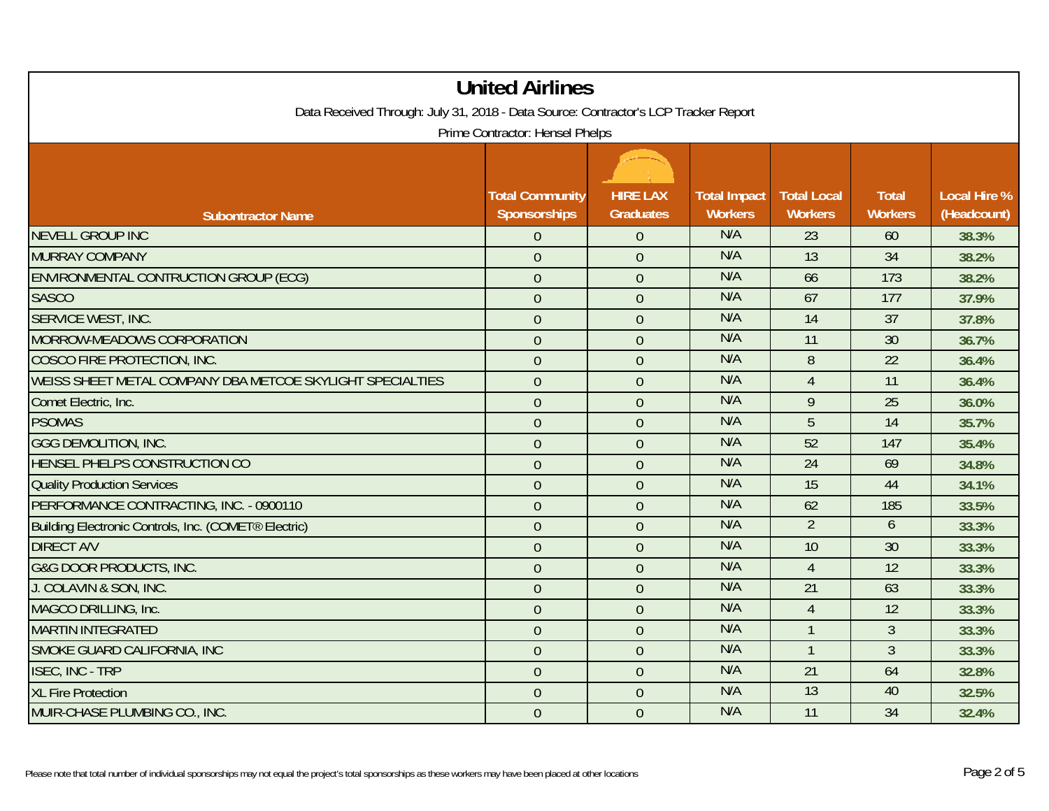| <b>United Airlines</b><br>Data Received Through: July 31, 2018 - Data Source: Contractor's LCP Tracker Report |                                        |                                     |                                       |                                      |                                |                                    |
|---------------------------------------------------------------------------------------------------------------|----------------------------------------|-------------------------------------|---------------------------------------|--------------------------------------|--------------------------------|------------------------------------|
|                                                                                                               | Prime Contractor: Hensel Phelps        |                                     |                                       |                                      |                                |                                    |
| <b>Subontractor Name</b>                                                                                      | <b>Total Community</b><br>Sponsorships | <b>HIRE LAX</b><br><b>Graduates</b> | <b>Total Impact</b><br><b>Workers</b> | <b>Total Local</b><br><b>Workers</b> | <b>Total</b><br><b>Workers</b> | <b>Local Hire %</b><br>(Headcount) |
| <b>NEVELL GROUP INC</b>                                                                                       | $\overline{0}$                         | $\overline{0}$                      | N/A                                   | 23                                   | 60                             | 38.3%                              |
| <b>MURRAY COMPANY</b>                                                                                         | $\overline{0}$                         | $\overline{0}$                      | N/A                                   | 13                                   | 34                             | 38.2%                              |
| ENVIRONMENTAL CONTRUCTION GROUP (ECG)                                                                         | $\mathbf 0$                            | $\overline{0}$                      | N/A                                   | 66                                   | 173                            | 38.2%                              |
| <b>SASCO</b>                                                                                                  | $\overline{0}$                         | $\theta$                            | N/A                                   | 67                                   | 177                            | 37.9%                              |
| SERVICE WEST, INC.                                                                                            | $\overline{0}$                         | $\overline{0}$                      | N/A                                   | 14                                   | $\overline{37}$                | 37.8%                              |
| MORROW-MEADOWS CORPORATION                                                                                    | $\mathbf{0}$                           | $\overline{0}$                      | N/A                                   | 11                                   | 30                             | 36.7%                              |
| COSCO FIRE PROTECTION, INC.                                                                                   | $\theta$                               | $\mathbf{0}$                        | N/A                                   | 8                                    | 22                             | 36.4%                              |
| WEISS SHEET METAL COMPANY DBA METCOE SKYLIGHT SPECIALTIES                                                     | $\overline{0}$                         | $\overline{0}$                      | N/A                                   | $\overline{4}$                       | 11                             | 36.4%                              |
| Comet Electric, Inc.                                                                                          | $\mathbf 0$                            | $\overline{0}$                      | N/A                                   | 9                                    | 25                             | 36.0%                              |
| <b>PSOMAS</b>                                                                                                 | $\overline{0}$                         | $\overline{0}$                      | N/A                                   | 5                                    | 14                             | 35.7%                              |
| <b>GGG DEMOLITION, INC.</b>                                                                                   | $\mathbf{0}$                           | $\overline{0}$                      | N/A                                   | 52                                   | 147                            | 35.4%                              |
| HENSEL PHELPS CONSTRUCTION CO                                                                                 | $\mathbf{0}$                           | $\overline{0}$                      | N/A                                   | 24                                   | 69                             | 34.8%                              |
| <b>Quality Production Services</b>                                                                            | $\overline{0}$                         | $\overline{0}$                      | N/A                                   | 15                                   | 44                             | 34.1%                              |
| PERFORMANCE CONTRACTING, INC. - 0900110                                                                       | $\mathbf 0$                            | $\overline{0}$                      | N/A                                   | 62                                   | 185                            | 33.5%                              |
| Building Electronic Controls, Inc. (COMET® Electric)                                                          | $\overline{0}$                         | $\overline{0}$                      | N/A                                   | $\overline{2}$                       | 6                              | 33.3%                              |
| <b>DIRECT A/V</b>                                                                                             | $\overline{0}$                         | $\overline{0}$                      | N/A                                   | 10                                   | 30                             | 33.3%                              |
| <b>G&amp;G DOOR PRODUCTS, INC.</b>                                                                            | $\overline{0}$                         | $\overline{0}$                      | N/A                                   | $\overline{4}$                       | 12                             | 33.3%                              |
| J. COLAVIN & SON, INC.                                                                                        | $\mathbf{0}$                           | $\overline{0}$                      | N/A                                   | 21                                   | 63                             | 33.3%                              |
| MAGCO DRILLING, Inc.                                                                                          | $\overline{0}$                         | $\overline{0}$                      | N/A                                   | $\overline{4}$                       | 12                             | 33.3%                              |
| <b>MARTIN INTEGRATED</b>                                                                                      | $\mathbf 0$                            | $\overline{0}$                      | N/A                                   |                                      | $\overline{3}$                 | 33.3%                              |
| SMOKE GUARD CALIFORNIA, INC                                                                                   | $\mathbf{0}$                           | $\overline{0}$                      | N/A                                   |                                      | 3                              | 33.3%                              |
| <b>ISEC, INC - TRP</b>                                                                                        | $\overline{0}$                         | $\overline{0}$                      | N/A                                   | 21                                   | 64                             | 32.8%                              |
| <b>XL Fire Protection</b>                                                                                     | $\mathbf{0}$                           | $\overline{0}$                      | N/A                                   | 13                                   | 40                             | 32.5%                              |
| MUIR-CHASE PLUMBING CO., INC.                                                                                 | $\overline{0}$                         | $\overline{0}$                      | N/A                                   | 11                                   | 34                             | 32.4%                              |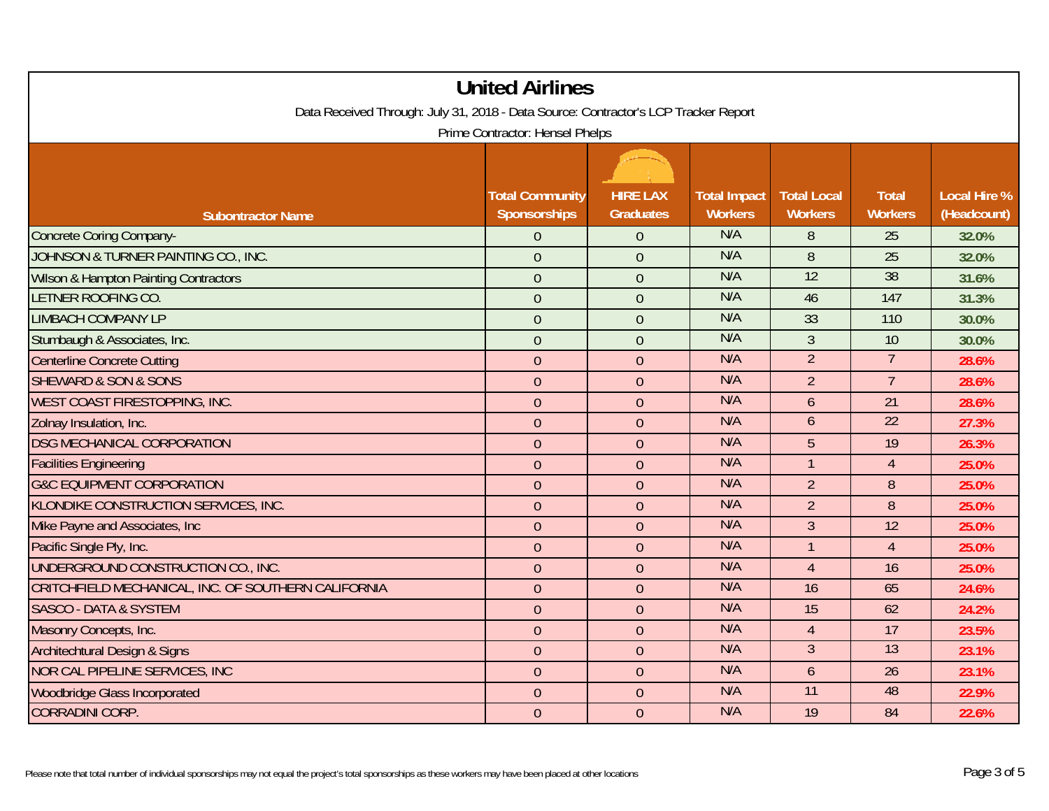| <b>United Airlines</b>                                                                                                 |                                        |                                     |                                       |                                      |                                |                                    |
|------------------------------------------------------------------------------------------------------------------------|----------------------------------------|-------------------------------------|---------------------------------------|--------------------------------------|--------------------------------|------------------------------------|
| Data Received Through: July 31, 2018 - Data Source: Contractor's LCP Tracker Report<br>Prime Contractor: Hensel Phelps |                                        |                                     |                                       |                                      |                                |                                    |
| <b>Subontractor Name</b>                                                                                               | <b>Total Community</b><br>Sponsorships | <b>HIRE LAX</b><br><b>Graduates</b> | <b>Total Impact</b><br><b>Workers</b> | <b>Total Local</b><br><b>Workers</b> | <b>Total</b><br><b>Workers</b> | <b>Local Hire %</b><br>(Headcount) |
| <b>Concrete Coring Company-</b>                                                                                        | $\overline{0}$                         | $\overline{0}$                      | N/A                                   | 8                                    | 25                             | 32.0%                              |
| JOHNSON & TURNER PAINTING CO., INC.                                                                                    | $\overline{0}$                         | $\overline{0}$                      | N/A                                   | 8                                    | 25                             | 32.0%                              |
| <b>Wilson &amp; Hampton Painting Contractors</b>                                                                       | $\mathbf{0}$                           | $\overline{0}$                      | N/A                                   | 12                                   | $\overline{38}$                | 31.6%                              |
| LETNER ROOFING CO.                                                                                                     | $\overline{0}$                         | $\overline{0}$                      | N/A                                   | 46                                   | 147                            | 31.3%                              |
| <b>LIMBACH COMPANY LP</b>                                                                                              | $\overline{0}$                         | $\overline{0}$                      | N/A                                   | 33                                   | 110                            | 30.0%                              |
| Stumbaugh & Associates, Inc.                                                                                           | $\mathbf{0}$                           | $\overline{0}$                      | N/A                                   | $\overline{3}$                       | 10                             | 30.0%                              |
| <b>Centerline Concrete Cutting</b>                                                                                     | $\overline{0}$                         | $\overline{0}$                      | N/A                                   | $\overline{2}$                       | $7^{\circ}$                    | 28.6%                              |
| <b>SHEWARD &amp; SON &amp; SONS</b>                                                                                    | $\overline{0}$                         | $\overline{0}$                      | N/A                                   | $\overline{2}$                       | $\overline{7}$                 | 28.6%                              |
| <b>WEST COAST FIRESTOPPING, INC.</b>                                                                                   | $\boldsymbol{0}$                       | $\overline{0}$                      | N/A                                   | $\mathfrak b$                        | 21                             | 28.6%                              |
| Zolnay Insulation, Inc.                                                                                                | $\theta$                               | $\overline{0}$                      | N/A                                   | 6                                    | 22                             | 27.3%                              |
| <b>DSG MECHANICAL CORPORATION</b>                                                                                      | $\overline{0}$                         | $\overline{0}$                      | N/A                                   | $5\overline{)}$                      | 19                             | 26.3%                              |
| <b>Facilities Engineering</b>                                                                                          | $\overline{0}$                         | $\overline{0}$                      | N/A                                   | $\mathbf{1}$                         | $\overline{4}$                 | 25.0%                              |
| <b>G&amp;C EQUIPMENT CORPORATION</b>                                                                                   | $\overline{0}$                         | $\overline{0}$                      | N/A                                   | $\overline{2}$                       | 8                              | 25.0%                              |
| KLONDIKE CONSTRUCTION SERVICES, INC.                                                                                   | $\overline{0}$                         | $\overline{0}$                      | N/A                                   | $\overline{2}$                       | 8                              | 25.0%                              |
| Mike Payne and Associates, Inc.                                                                                        | $\theta$                               | $\overline{0}$                      | N/A                                   | $\overline{3}$                       | 12                             | 25.0%                              |
| Pacific Single Ply, Inc.                                                                                               | $\overline{0}$                         | $\overline{0}$                      | N/A                                   | $\mathbf{1}$                         | $\overline{4}$                 | 25.0%                              |
| UNDERGROUND CONSTRUCTION CO., INC.                                                                                     | $\overline{0}$                         | $\overline{0}$                      | N/A                                   | $\overline{4}$                       | 16                             | 25.0%                              |
| CRITCHFIELD MECHANICAL, INC. OF SOUTHERN CALIFORNIA                                                                    | $\theta$                               | $\mathbf{0}$                        | N/A                                   | 16                                   | 65                             | 24.6%                              |
| <b>SASCO - DATA &amp; SYSTEM</b>                                                                                       | $\overline{0}$                         | $\overline{0}$                      | N/A                                   | 15                                   | 62                             | 24.2%                              |
| Masonry Concepts, Inc.                                                                                                 | $\boldsymbol{0}$                       | $\overline{0}$                      | N/A                                   | $\overline{4}$                       | 17                             | 23.5%                              |
| <b>Architechtural Design &amp; Signs</b>                                                                               | $\theta$                               | $\mathbf{0}$                        | N/A                                   | $\mathfrak{Z}$                       | $\overline{13}$                | 23.1%                              |
| <b>NOR CAL PIPELINE SERVICES, INC</b>                                                                                  | $\overline{0}$                         | $\overline{0}$                      | N/A                                   | $\overline{6}$                       | 26                             | 23.1%                              |
| <b>Woodbridge Glass Incorporated</b>                                                                                   | $\overline{0}$                         | $\mathbf 0$                         | N/A                                   | $\overline{11}$                      | 48                             | 22.9%                              |
| <b>CORRADINI CORP.</b>                                                                                                 | $\theta$                               | $\overline{0}$                      | N/A                                   | 19                                   | 84                             | 22.6%                              |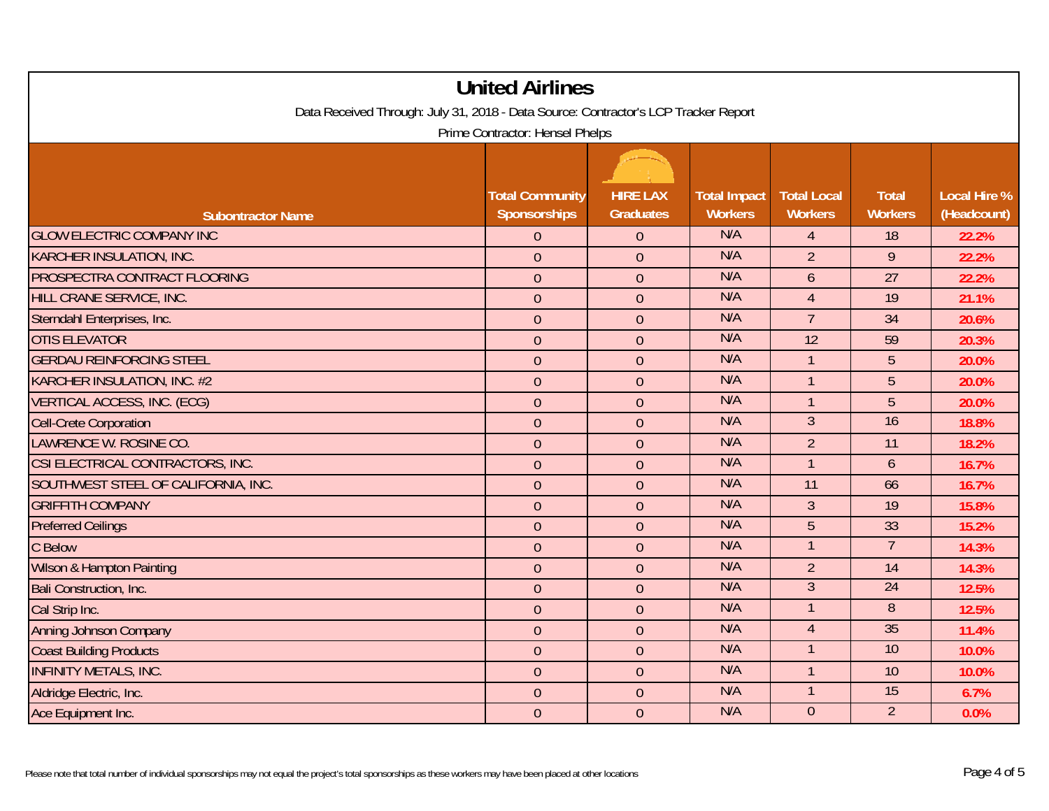| <b>United Airlines</b>                                                                                                 |                                        |                                     |                                       |                                      |                                |                                    |
|------------------------------------------------------------------------------------------------------------------------|----------------------------------------|-------------------------------------|---------------------------------------|--------------------------------------|--------------------------------|------------------------------------|
| Data Received Through: July 31, 2018 - Data Source: Contractor's LCP Tracker Report<br>Prime Contractor: Hensel Phelps |                                        |                                     |                                       |                                      |                                |                                    |
| <b>Subontractor Name</b>                                                                                               | <b>Total Community</b><br>Sponsorships | <b>HIRE LAX</b><br><b>Graduates</b> | <b>Total Impact</b><br><b>Workers</b> | <b>Total Local</b><br><b>Workers</b> | <b>Total</b><br><b>Workers</b> | <b>Local Hire %</b><br>(Headcount) |
| <b>GLOW ELECTRIC COMPANY INC</b>                                                                                       | $\overline{0}$                         | $\overline{0}$                      | N/A                                   | $\overline{4}$                       | 18                             | 22.2%                              |
| <b>KARCHER INSULATION, INC.</b>                                                                                        | $\overline{0}$                         | $\overline{0}$                      | N/A                                   | $\overline{2}$                       | 9                              | 22.2%                              |
| PROSPECTRA CONTRACT FLOORING                                                                                           | $\overline{0}$                         | $\overline{0}$                      | N/A                                   | 6                                    | 27                             | 22.2%                              |
| HILL CRANE SERVICE, INC.                                                                                               | $\overline{0}$                         | $\overline{0}$                      | N/A                                   | $\overline{4}$                       | 19                             | 21.1%                              |
| Sterndahl Enterprises, Inc.                                                                                            | $\overline{0}$                         | $\overline{0}$                      | N/A                                   | $\overline{7}$                       | 34                             | 20.6%                              |
| <b>OTIS ELEVATOR</b>                                                                                                   | $\mathbf{0}$                           | $\overline{0}$                      | N/A                                   | 12                                   | 59                             | 20.3%                              |
| <b>GERDAU REINFORCING STEEL</b>                                                                                        | $\mathbf{0}$                           | $\overline{0}$                      | N/A                                   |                                      | 5                              | 20.0%                              |
| <b>KARCHER INSULATION, INC. #2</b>                                                                                     | $\overline{0}$                         | $\overline{0}$                      | N/A                                   | $\mathbf{1}$                         | 5                              | 20.0%                              |
| <b>VERTICAL ACCESS, INC. (ECG)</b>                                                                                     | $\overline{0}$                         | $\boldsymbol{0}$                    | N/A                                   | $\mathbf{1}$                         | 5                              | 20.0%                              |
| <b>Cell-Crete Corporation</b>                                                                                          | $\overline{0}$                         | $\overline{0}$                      | N/A                                   | $\overline{3}$                       | 16                             | 18.8%                              |
| LAWRENCE W. ROSINE CO.                                                                                                 | $\overline{0}$                         | $\overline{0}$                      | N/A                                   | $\overline{2}$                       | 11                             | 18.2%                              |
| CSI ELECTRICAL CONTRACTORS, INC.                                                                                       | $\overline{0}$                         | $\overline{0}$                      | N/A                                   |                                      | 6                              | 16.7%                              |
| SOUTHWEST STEEL OF CALIFORNIA, INC.                                                                                    | $\overline{0}$                         | $\overline{0}$                      | N/A                                   | 11                                   | 66                             | 16.7%                              |
| <b>GRIFFITH COMPANY</b>                                                                                                | $\mathbf{0}$                           | $\overline{0}$                      | N/A                                   | $\overline{3}$                       | 19                             | 15.8%                              |
| <b>Preferred Ceilings</b>                                                                                              | $\mathbf{0}$                           | $\overline{0}$                      | N/A                                   | 5                                    | 33                             | 15.2%                              |
| C Below                                                                                                                | $\overline{0}$                         | $\overline{0}$                      | N/A                                   | $\mathbf{1}$                         | $\overline{7}$                 | 14.3%                              |
| Wilson & Hampton Painting                                                                                              | $\overline{0}$                         | $\overline{0}$                      | N/A                                   | $\overline{2}$                       | 14                             | 14.3%                              |
| <b>Bali Construction, Inc.</b>                                                                                         | $\mathbf{0}$                           | $\overline{0}$                      | N/A                                   | $\overline{3}$                       | 24                             | 12.5%                              |
| Cal Strip Inc.                                                                                                         | $\overline{0}$                         | $\overline{0}$                      | N/A                                   |                                      | $\overline{8}$                 | 12.5%                              |
| <b>Anning Johnson Company</b>                                                                                          | $\mathbf{0}$                           | $\overline{0}$                      | N/A                                   | $\overline{4}$                       | 35                             | 11.4%                              |
| <b>Coast Building Products</b>                                                                                         | $\mathbf{0}$                           | $\overline{0}$                      | N/A                                   |                                      | 10                             | 10.0%                              |
| <b>INFINITY METALS, INC.</b>                                                                                           | $\overline{0}$                         | $\overline{0}$                      | N/A                                   | $\mathbf{1}$                         | 10                             | 10.0%                              |
| Aldridge Electric, Inc.                                                                                                | $\mathbf{0}$                           | $\mathbf 0$                         | N/A                                   |                                      | 15                             | 6.7%                               |
| Ace Equipment Inc.                                                                                                     | $\mathbf{0}$                           | $\overline{0}$                      | N/A                                   | $\overline{0}$                       | 2 <sup>1</sup>                 | 0.0%                               |